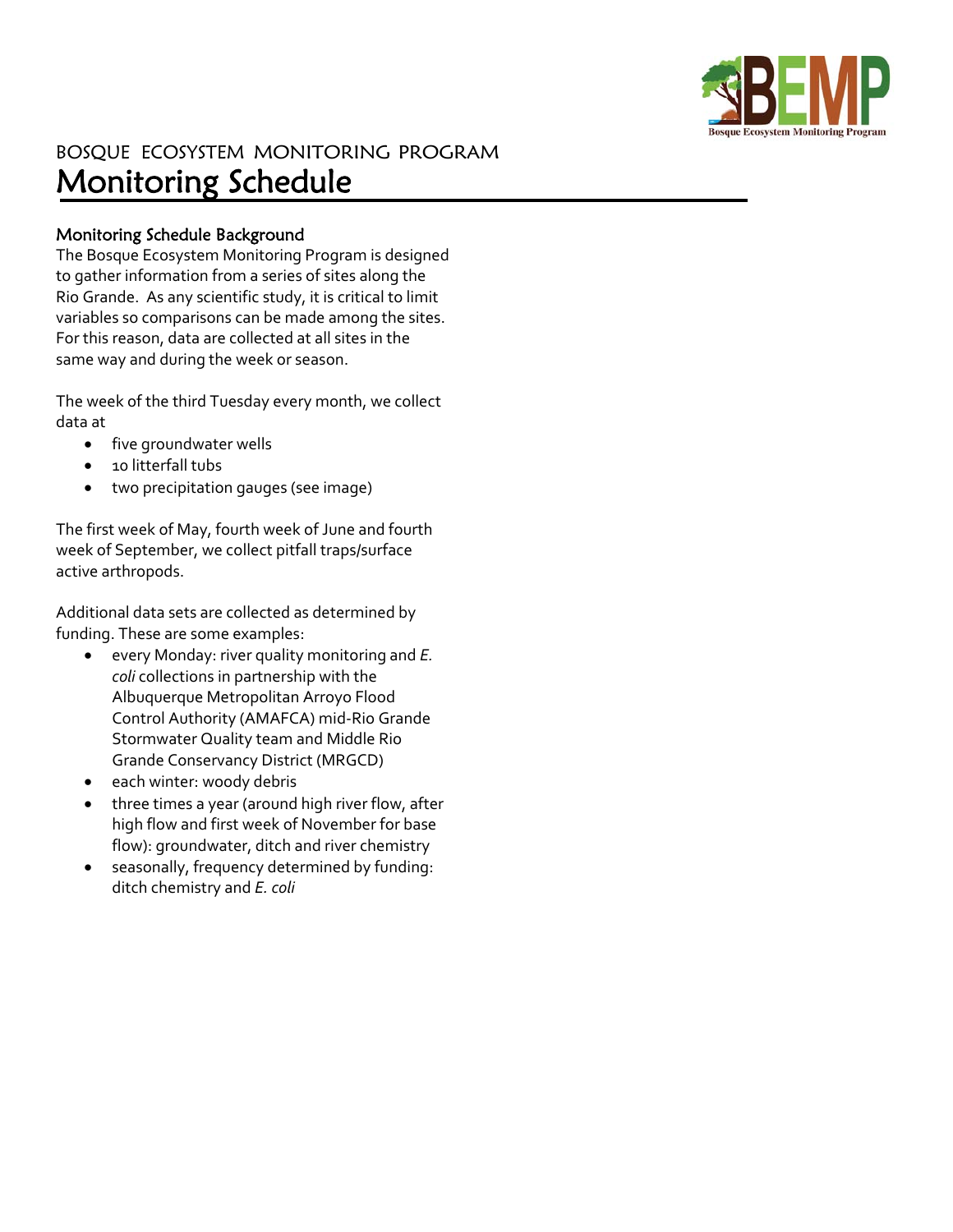

## BOSQUE ECOSYSTEM MONITORING PROGRAM Monitoring Schedule

## Monitoring Schedule Background

The Bosque Ecosystem Monitoring Program is designed to gather information from a series of sites along the Rio Grande. As any scientific study, it is critical to limit variables so comparisons can be made among the sites. For this reason, data are collected at all sites in the same way and during the week or season.

The week of the third Tuesday every month, we collect data at

- five groundwater wells
- 10 litterfall tubs
- two precipitation gauges (see image)

The first week of May, fourth week of June and fourth week of September, we collect pitfall traps/surface active arthropods.

Additional data sets are collected as determined by funding. These are some examples:

- every Monday: river quality monitoring and *E. coli* collections in partnership with the Albuquerque Metropolitan Arroyo Flood Control Authority (AMAFCA) mid‐Rio Grande Stormwater Quality team and Middle Rio Grande Conservancy District (MRGCD)
- each winter: woody debris
- three times a year (around high river flow, after high flow and first week of November for base flow): groundwater, ditch and river chemistry
- seasonally, frequency determined by funding: ditch chemistry and *E. coli*